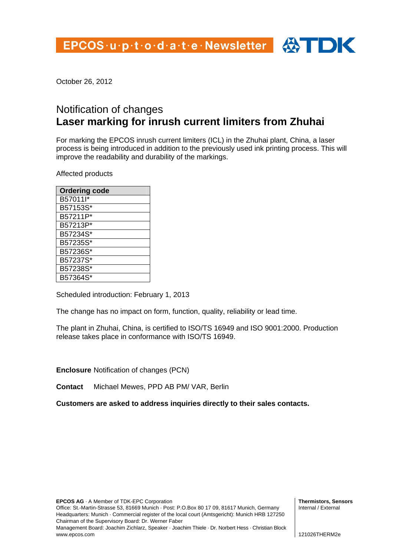October 26, 2012

## Notification of changes **Laser marking for inrush current limiters from Zhuhai**

For marking the EPCOS inrush current limiters (ICL) in the Zhuhai plant, China, a laser process is being introduced in addition to the previously used ink printing process. This will improve the readability and durability of the markings.

Affected products

| <b>Ordering code</b> |
|----------------------|
| B57011I*             |
| B57153S*             |
| B57211P*             |
| B57213P*             |
| B57234S*             |
| B57235S*             |
| B57236S*             |
| B57237S*             |
| B57238S*             |
| B57364S*             |

Scheduled introduction: February 1, 2013

The change has no impact on form, function, quality, reliability or lead time.

The plant in Zhuhai, China, is certified to ISO/TS 16949 and ISO 9001:2000. Production release takes place in conformance with ISO/TS 16949.

**Enclosure** Notification of changes (PCN)

**Contact** Michael Mewes, PPD AB PM/ VAR, Berlin

**Customers are asked to address inquiries directly to their sales contacts.** 

**EPCOS AG** · A Member of TDK-EPC Corporation Office: St.-Martin-Strasse 53, 81669 Munich · Post: P.O.Box 80 17 09, 81617 Munich, Germany Headquarters: Munich · Commercial register of the local court (Amtsgericht): Munich HRB 127250 Chairman of the Supervisory Board: Dr. Werner Faber Management Board: Joachim Zichlarz, Speaker · Joachim Thiele · Dr. Norbert Hess · Christian Block www.epcos.com

**Thermistors, Sensors**  Internal / External

121026THERM2e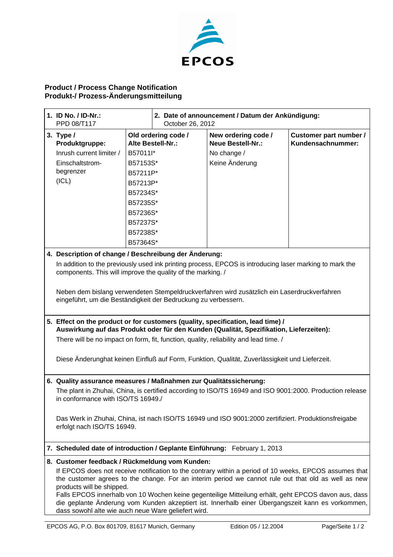

## **Product / Process Change Notification Produkt-/ Prozess-Änderungsmitteilung**

| 1. ID No. $/$ ID-Nr.:<br>PPD 08/T117                                                                                                                                       |          | 2. Date of announcement / Datum der Ankündigung:<br>October 26, 2012 |                                                 |                                             |
|----------------------------------------------------------------------------------------------------------------------------------------------------------------------------|----------|----------------------------------------------------------------------|-------------------------------------------------|---------------------------------------------|
| 3. Type $/$<br>Produktgruppe:                                                                                                                                              |          | Old ordering code /<br>Alte Bestell-Nr.:                             | New ordering code /<br><b>Neue Bestell-Nr.:</b> | Customer part number /<br>Kundensachnummer: |
| Inrush current limiter /                                                                                                                                                   | B57011I* |                                                                      | No change /                                     |                                             |
| Einschaltstrom-                                                                                                                                                            | B57153S* |                                                                      | Keine Änderung                                  |                                             |
| begrenzer                                                                                                                                                                  | B57211P* |                                                                      |                                                 |                                             |
| (ICL)                                                                                                                                                                      | B57213P* |                                                                      |                                                 |                                             |
|                                                                                                                                                                            | B57234S* |                                                                      |                                                 |                                             |
|                                                                                                                                                                            | B57235S* |                                                                      |                                                 |                                             |
|                                                                                                                                                                            | B57236S* |                                                                      |                                                 |                                             |
|                                                                                                                                                                            | B57237S* |                                                                      |                                                 |                                             |
|                                                                                                                                                                            | B57238S* |                                                                      |                                                 |                                             |
|                                                                                                                                                                            | B57364S* |                                                                      |                                                 |                                             |
| 4. Description of change / Beschreibung der Änderung:                                                                                                                      |          |                                                                      |                                                 |                                             |
| In addition to the previously used ink printing process, EPCOS is introducing laser marking to mark the<br>components. This will improve the quality of the marking. /     |          |                                                                      |                                                 |                                             |
| Neben dem bislang verwendeten Stempeldruckverfahren wird zusätzlich ein Laserdruckverfahren<br>eingeführt, um die Beständigkeit der Bedruckung zu verbessern.              |          |                                                                      |                                                 |                                             |
| 5. Effect on the product or for customers (quality, specification, lead time) /<br>Auswirkung auf das Produkt oder für den Kunden (Qualität, Spezifikation, Lieferzeiten): |          |                                                                      |                                                 |                                             |
| There will be no impact on form, fit, function, quality, reliability and lead time. /                                                                                      |          |                                                                      |                                                 |                                             |
|                                                                                                                                                                            |          |                                                                      |                                                 |                                             |
| Diese Änderunghat keinen Einfluß auf Form, Funktion, Qualität, Zuverlässigkeit und Lieferzeit.                                                                             |          |                                                                      |                                                 |                                             |
| 6. Quality assurance measures / Maßnahmen zur Qualitätssicherung:                                                                                                          |          |                                                                      |                                                 |                                             |
| The plant in Zhuhai, China, is certified according to ISO/TS 16949 and ISO 9001:2000. Production release<br>in conformance with ISO/TS 16949./                             |          |                                                                      |                                                 |                                             |
| Das Werk in Zhuhai, China, ist nach ISO/TS 16949 und ISO 9001:2000 zertifiziert. Produktionsfreigabe<br>erfolgt nach ISO/TS 16949.                                         |          |                                                                      |                                                 |                                             |
| 7. Scheduled date of introduction / Geplante Einführung: February 1, 2013                                                                                                  |          |                                                                      |                                                 |                                             |
| 8. Customer feedback / Rückmeldung vom Kunden:                                                                                                                             |          |                                                                      |                                                 |                                             |
| If EPCOS does not receive notification to the contrary within a period of 10 weeks, EPCOS assumes that                                                                     |          |                                                                      |                                                 |                                             |
| the customer agrees to the change. For an interim period we cannot rule out that old as well as new                                                                        |          |                                                                      |                                                 |                                             |
| products will be shipped.<br>Falls EPCOS innerhalb von 10 Wochen keine gegenteilige Mitteilung erhält, geht EPCOS davon aus, dass                                          |          |                                                                      |                                                 |                                             |
| die geplante Änderung vom Kunden akzeptiert ist. Innerhalb einer Übergangszeit kann es vorkommen,<br>dass sowohl alte wie auch neue Ware geliefert wird.                   |          |                                                                      |                                                 |                                             |